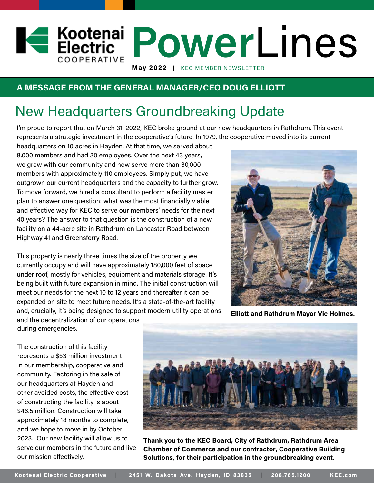### **A MESSAGE FROM THE GENERAL MANAGER/CEO DOUG ELLIOTT**

### New Headquarters Groundbreaking Update

I'm proud to report that on March 31, 2022, KEC broke ground at our new headquarters in Rathdrum. This event represents a strategic investment in the cooperative's future. In 1979, the cooperative moved into its current

**May 2022 |** KEC MEMBER NEWSLETTER

headquarters on 10 acres in Hayden. At that time, we served about 8,000 members and had 30 employees. Over the next 43 years, we grew with our community and now serve more than 30,000 members with approximately 110 employees. Simply put, we have outgrown our current headquarters and the capacity to further grow. To move forward, we hired a consultant to perform a facility master plan to answer one question: what was the most financially viable and effective way for KEC to serve our members' needs for the next 40 years? The answer to that question is the construction of a new facility on a 44-acre site in Rathdrum on Lancaster Road between Highway 41 and Greensferry Road.

This property is nearly three times the size of the property we currently occupy and will have approximately 180,000 feet of space under roof, mostly for vehicles, equipment and materials storage. It's being built with future expansion in mind. The initial construction will meet our needs for the next 10 to 12 years and thereafter it can be expanded on site to meet future needs. It's a state-of-the-art facility and, crucially, it's being designed to support modern utility operations and the decentralization of our operations



**Elliott and Rathdrum Mayor Vic Holmes.**

during emergencies.

The construction of this facility represents a \$53 million investment in our membership, cooperative and community. Factoring in the sale of our headquarters at Hayden and other avoided costs, the effective cost of constructing the facility is about \$46.5 million. Construction will take approximately 18 months to complete, and we hope to move in by October 2023. Our new facility will allow us to serve our members in the future and live our mission effectively.



**Power** Lines

**Thank you to the KEC Board, City of Rathdrum, Rathdrum Area Chamber of Commerce and our contractor, Cooperative Building Solutions, for their participation in the groundbreaking event.**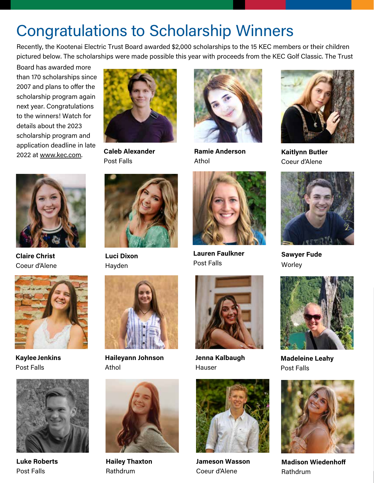## Congratulations to Scholarship Winners

Recently, the Kootenai Electric Trust Board awarded \$2,000 scholarships to the 15 KEC members or their children pictured below. The scholarships were made possible this year with proceeds from the KEC Golf Classic. The Trust

Board has awarded more than 170 scholarships since 2007 and plans to offer the scholarship program again next year. Congratulations to the winners! Watch for details about the 2023 scholarship program and application deadline in late 2022 at www.kec.com.



**Caleb Alexander** Post Falls



**Luci Dixon** Hayden



**Haileyann Johnson** Athol



**Hailey Thaxton** Rathdrum



**Ramie Anderson** Athol



**Lauren Faulkner** Post Falls



**Jenna Kalbaugh** Hauser



**Jameson Wasson** Coeur d'Alene



**Kaitlynn Butler** Coeur d'Alene



**Sawyer Fude Worley** 



**Madeleine Leahy**  Post Falls



**Madison Wiedenhoff** Rathdrum



**Claire Christ** Coeur d'Alene



**KayleeJenkins** Post Falls



**Luke Roberts** Post Falls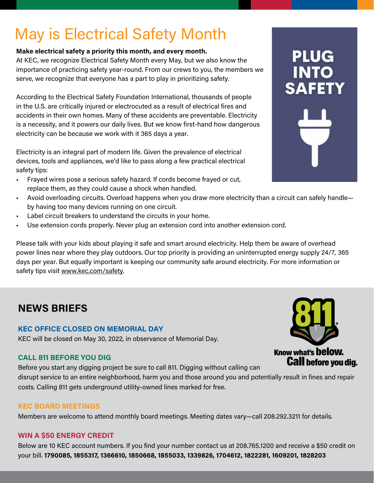# May is Electrical Safety Month

#### **Make electrical safety a priority this month, and every month.**

At KEC, we recognize Electrical Safety Month every May, but we also know the importance of practicing safety year-round. From our crews to you, the members we serve, we recognize that everyone has a part to play in prioritizing safety.

According to the Electrical Safety Foundation International, thousands of people in the U.S. are critically injured or electrocuted as a result of electrical fires and accidents in their own homes. Many of these accidents are preventable. Electricity is a necessity, and it powers our daily lives. But we know first-hand how dangerous electricity can be because we work with it 365 days a year.

Electricity is an integral part of modern life. Given the prevalence of electrical devices, tools and appliances, we'd like to pass along a few practical electrical safety tips:

- Frayed wires pose a serious safety hazard. If cords become frayed or cut, replace them, as they could cause a shock when handled.
- Avoid overloading circuits. Overload happens when you draw more electricity than a circuit can safely handle by having too many devices running on one circuit.
- Label circuit breakers to understand the circuits in your home.
- Use extension cords properly. Never plug an extension cord into another extension cord.

Please talk with your kids about playing it safe and smart around electricity. Help them be aware of overhead power lines near where they play outdoors. Our top priority is providing an uninterrupted energy supply 24/7, 365 days per year. But equally important is keeping our community safe around electricity. For more information or safety tips visit www.kec.com/safety.

### **NEWS BRIEFS**

#### **KEC OFFICE CLOSED ON MEMORIAL DAY**

KEC will be closed on May 30, 2022, in observance of Memorial Day.

#### **CALL 811 BEFORE YOU DIG**

Before you start any digging project be sure to call 811. Digging without calling can disrupt service to an entire neighborhood, harm you and those around you and potentially result in fines and repair costs. Calling 811 gets underground utility-owned lines marked for free.

#### **KEC BOARD MEETINGS**

Members are welcome to attend monthly board meetings. Meeting dates vary—call 208.292.3211 for details.

#### **WIN A \$50 ENERGY CREDIT**

Below are 10 KEC account numbers. If you find your number contact us at 208.765.1200 and receive a \$50 credit on your bill. **1790085, 1855317, 1366610, 1850668, 1855033, 1339826, 1704612, 1822281, 1609201, 1828203**